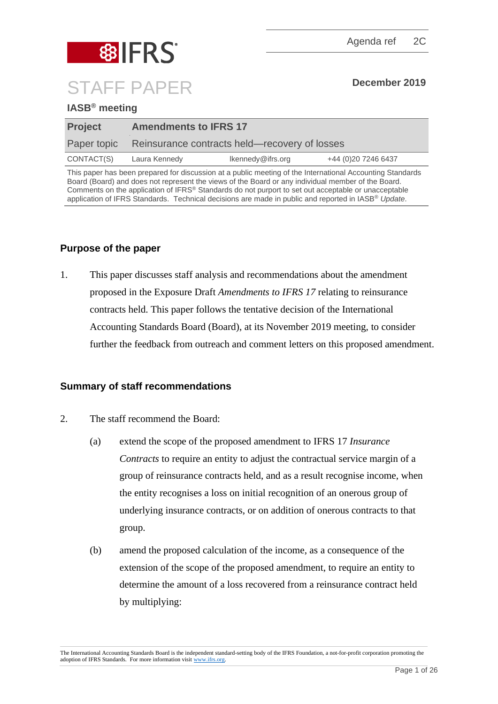

## **IASB® meeting**

| <b>Project</b> | <b>Amendments to IFRS 17</b>                  |                   |                     |  |  |
|----------------|-----------------------------------------------|-------------------|---------------------|--|--|
| Paper topic    | Reinsurance contracts held—recovery of losses |                   |                     |  |  |
| CONTACT(S)     | Laura Kennedy                                 | Ikennedy@ifrs.org | +44 (0)20 7246 6437 |  |  |

This paper has been prepared for discussion at a public meeting of the International Accounting Standards Board (Board) and does not represent the views of the Board or any individual member of the Board. Comments on the application of IFRS® Standards do not purport to set out acceptable or unacceptable application of IFRS Standards. Technical decisions are made in public and reported in IASB® *Update*.

## **Purpose of the paper**

1. This paper discusses staff analysis and recommendations about the amendment proposed in the Exposure Draft *Amendments to IFRS 17* relating to reinsurance contracts held. This paper follows the tentative decision of the International Accounting Standards Board (Board), at its November 2019 meeting, to consider further the feedback from outreach and comment letters on this proposed amendment.

## **Summary of staff recommendations**

- 2. The staff recommend the Board:
	- (a) extend the scope of the proposed amendment to IFRS 17 *Insurance Contracts* to require an entity to adjust the contractual service margin of a group of reinsurance contracts held, and as a result recognise income, when the entity recognises a loss on initial recognition of an onerous group of underlying insurance contracts, or on addition of onerous contracts to that group.
	- (b) amend the proposed calculation of the income, as a consequence of the extension of the scope of the proposed amendment, to require an entity to determine the amount of a loss recovered from a reinsurance contract held by multiplying:

The International Accounting Standards Board is the independent standard-setting body of the IFRS Foundation, a not-for-profit corporation promoting the adoption of IFRS Standards. For more information visit [www.ifrs.org.](http://www.ifrs.org/)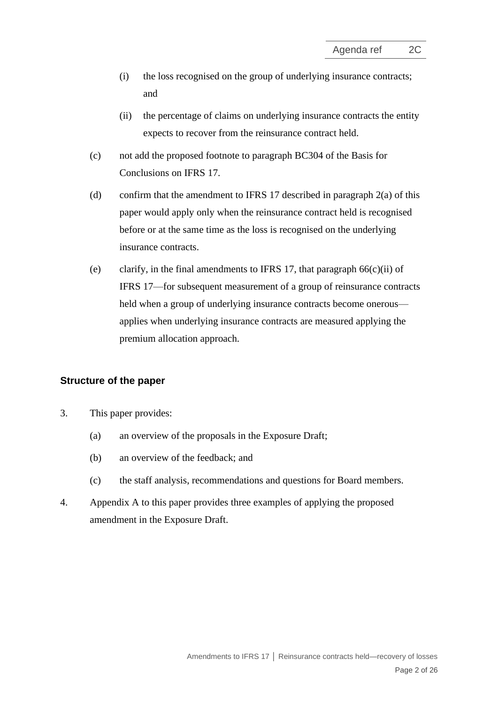- (i) the loss recognised on the group of underlying insurance contracts; and
- (ii) the percentage of claims on underlying insurance contracts the entity expects to recover from the reinsurance contract held.
- (c) not add the proposed footnote to paragraph BC304 of the Basis for Conclusions on IFRS 17.
- (d) confirm that the amendment to IFRS 17 described in paragraph 2(a) of this paper would apply only when the reinsurance contract held is recognised before or at the same time as the loss is recognised on the underlying insurance contracts.
- (e) clarify, in the final amendments to IFRS 17, that paragraph  $66(c)(ii)$  of IFRS 17—for subsequent measurement of a group of reinsurance contracts held when a group of underlying insurance contracts become onerous applies when underlying insurance contracts are measured applying the premium allocation approach.

## **Structure of the paper**

- 3. This paper provides:
	- (a) an overview of the proposals in the Exposure Draft;
	- (b) an overview of the feedback; and
	- (c) the staff analysis, recommendations and questions for Board members.
- 4. Appendix A to this paper provides three examples of applying the proposed amendment in the Exposure Draft.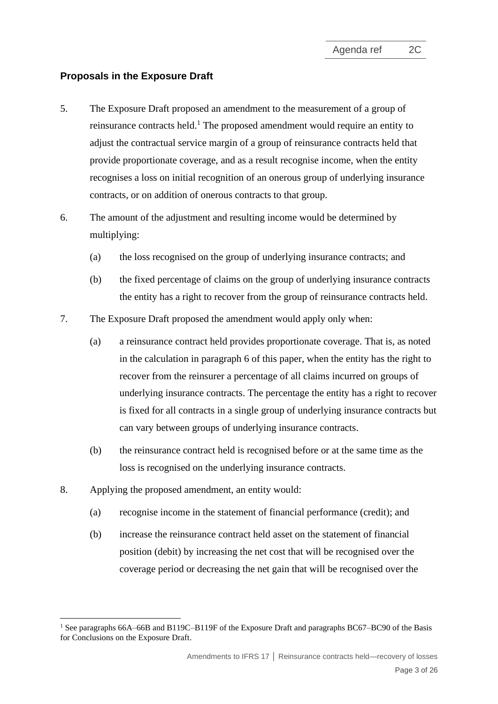## **Proposals in the Exposure Draft**

- 5. The Exposure Draft proposed an amendment to the measurement of a group of reinsurance contracts held.<sup>1</sup> The proposed amendment would require an entity to adjust the contractual service margin of a group of reinsurance contracts held that provide proportionate coverage, and as a result recognise income, when the entity recognises a loss on initial recognition of an onerous group of underlying insurance contracts, or on addition of onerous contracts to that group.
- <span id="page-2-0"></span>6. The amount of the adjustment and resulting income would be determined by multiplying:
	- (a) the loss recognised on the group of underlying insurance contracts; and
	- (b) the fixed percentage of claims on the group of underlying insurance contracts the entity has a right to recover from the group of reinsurance contracts held.
- 7. The Exposure Draft proposed the amendment would apply only when:
	- (a) a reinsurance contract held provides proportionate coverage. That is, as noted in the calculation in paragraph [6](#page-2-0) of this paper, when the entity has the right to recover from the reinsurer a percentage of all claims incurred on groups of underlying insurance contracts. The percentage the entity has a right to recover is fixed for all contracts in a single group of underlying insurance contracts but can vary between groups of underlying insurance contracts.
	- (b) the reinsurance contract held is recognised before or at the same time as the loss is recognised on the underlying insurance contracts.
- <span id="page-2-1"></span>8. Applying the proposed amendment, an entity would:
	- (a) recognise income in the statement of financial performance (credit); and
	- (b) increase the reinsurance contract held asset on the statement of financial position (debit) by increasing the net cost that will be recognised over the coverage period or decreasing the net gain that will be recognised over the

<sup>&</sup>lt;sup>1</sup> See paragraphs 66A–66B and B119C–B119F of the Exposure Draft and paragraphs BC67–BC90 of the Basis for Conclusions on the Exposure Draft.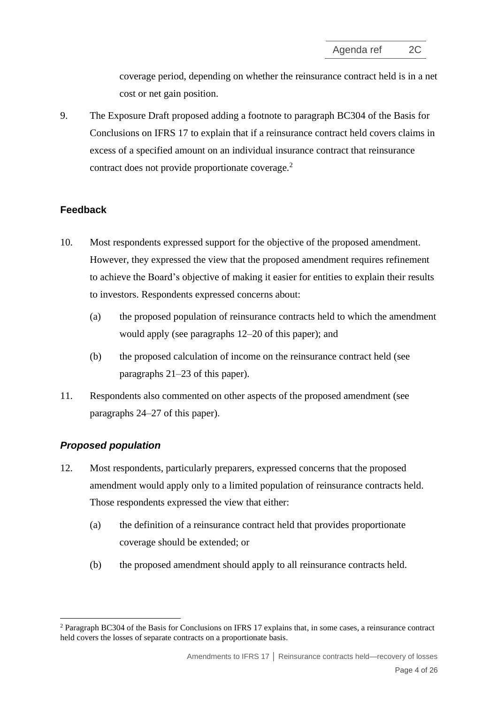coverage period, depending on whether the reinsurance contract held is in a net cost or net gain position.

<span id="page-3-1"></span>9. The Exposure Draft proposed adding a footnote to paragraph BC304 of the Basis for Conclusions on IFRS 17 to explain that if a reinsurance contract held covers claims in excess of a specified amount on an individual insurance contract that reinsurance contract does not provide proportionate coverage. $<sup>2</sup>$ </sup>

## **Feedback**

- 10. Most respondents expressed support for the objective of the proposed amendment. However, they expressed the view that the proposed amendment requires refinement to achieve the Board's objective of making it easier for entities to explain their results to investors. Respondents expressed concerns about:
	- (a) the proposed population of reinsurance contracts held to which the amendment would apply (see paragraphs [12](#page-3-0)–20 of this paper); and
	- (b) the proposed calculation of income on the reinsurance contract held (see paragraphs [21](#page-7-0)[–23](#page-7-1) of this paper).
- 11. Respondents also commented on other aspects of the proposed amendment (see paragraphs [24‒](#page-8-0)[27](#page-9-0) of this paper).

## *Proposed population*

- <span id="page-3-0"></span>12. Most respondents, particularly preparers, expressed concerns that the proposed amendment would apply only to a limited population of reinsurance contracts held. Those respondents expressed the view that either:
	- (a) the definition of a reinsurance contract held that provides proportionate coverage should be extended; or
	- (b) the proposed amendment should apply to all reinsurance contracts held.

<sup>2</sup> Paragraph BC304 of the Basis for Conclusions on IFRS 17 explains that, in some cases, a reinsurance contract held covers the losses of separate contracts on a proportionate basis.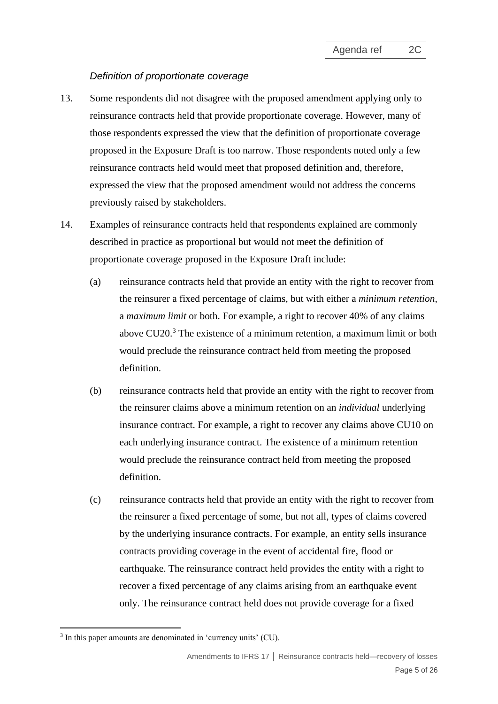## *Definition of proportionate coverage*

- 13. Some respondents did not disagree with the proposed amendment applying only to reinsurance contracts held that provide proportionate coverage. However, many of those respondents expressed the view that the definition of proportionate coverage proposed in the Exposure Draft is too narrow. Those respondents noted only a few reinsurance contracts held would meet that proposed definition and, therefore, expressed the view that the proposed amendment would not address the concerns previously raised by stakeholders.
- <span id="page-4-0"></span>14. Examples of reinsurance contracts held that respondents explained are commonly described in practice as proportional but would not meet the definition of proportionate coverage proposed in the Exposure Draft include:
	- (a) reinsurance contracts held that provide an entity with the right to recover from the reinsurer a fixed percentage of claims, but with either a *minimum retention,*  a *maximum limit* or both. For example, a right to recover 40% of any claims above CU20.<sup>3</sup> The existence of a minimum retention, a maximum limit or both would preclude the reinsurance contract held from meeting the proposed definition.
	- (b) reinsurance contracts held that provide an entity with the right to recover from the reinsurer claims above a minimum retention on an *individual* underlying insurance contract. For example, a right to recover any claims above CU10 on each underlying insurance contract. The existence of a minimum retention would preclude the reinsurance contract held from meeting the proposed definition.
	- (c) reinsurance contracts held that provide an entity with the right to recover from the reinsurer a fixed percentage of some, but not all, types of claims covered by the underlying insurance contracts. For example, an entity sells insurance contracts providing coverage in the event of accidental fire, flood or earthquake. The reinsurance contract held provides the entity with a right to recover a fixed percentage of any claims arising from an earthquake event only. The reinsurance contract held does not provide coverage for a fixed

<sup>&</sup>lt;sup>3</sup> In this paper amounts are denominated in 'currency units' (CU).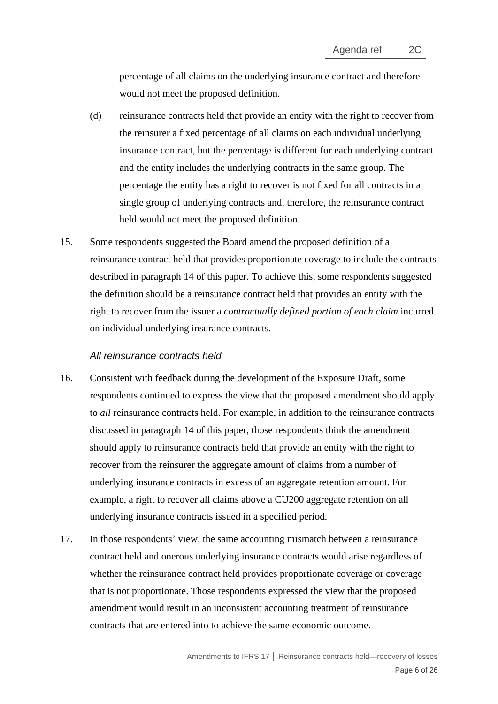percentage of all claims on the underlying insurance contract and therefore would not meet the proposed definition.

- (d) reinsurance contracts held that provide an entity with the right to recover from the reinsurer a fixed percentage of all claims on each individual underlying insurance contract, but the percentage is different for each underlying contract and the entity includes the underlying contracts in the same group. The percentage the entity has a right to recover is not fixed for all contracts in a single group of underlying contracts and, therefore, the reinsurance contract held would not meet the proposed definition.
- 15. Some respondents suggested the Board amend the proposed definition of a reinsurance contract held that provides proportionate coverage to include the contracts described in paragraph [14](#page-4-0) of this paper. To achieve this, some respondents suggested the definition should be a reinsurance contract held that provides an entity with the right to recover from the issuer a *contractually defined portion of each claim* incurred on individual underlying insurance contracts.

#### *All reinsurance contracts held*

- 16. Consistent with feedback during the development of the Exposure Draft, some respondents continued to express the view that the proposed amendment should apply to *all* reinsurance contracts held. For example, in addition to the reinsurance contracts discussed in paragraph [14](#page-4-0) of this paper, those respondents think the amendment should apply to reinsurance contracts held that provide an entity with the right to recover from the reinsurer the aggregate amount of claims from a number of underlying insurance contracts in excess of an aggregate retention amount. For example, a right to recover all claims above a CU200 aggregate retention on all underlying insurance contracts issued in a specified period.
- 17. In those respondents' view, the same accounting mismatch between a reinsurance contract held and onerous underlying insurance contracts would arise regardless of whether the reinsurance contract held provides proportionate coverage or coverage that is not proportionate. Those respondents expressed the view that the proposed amendment would result in an inconsistent accounting treatment of reinsurance contracts that are entered into to achieve the same economic outcome.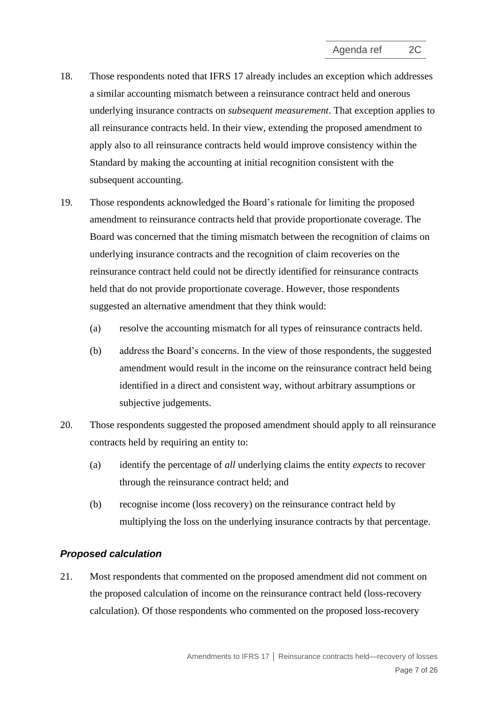- 18. Those respondents noted that IFRS 17 already includes an exception which addresses a similar accounting mismatch between a reinsurance contract held and onerous underlying insurance contracts on *subsequent measurement*. That exception applies to all reinsurance contracts held. In their view, extending the proposed amendment to apply also to all reinsurance contracts held would improve consistency within the Standard by making the accounting at initial recognition consistent with the subsequent accounting.
- 19. Those respondents acknowledged the Board's rationale for limiting the proposed amendment to reinsurance contracts held that provide proportionate coverage. The Board was concerned that the timing mismatch between the recognition of claims on underlying insurance contracts and the recognition of claim recoveries on the reinsurance contract held could not be directly identified for reinsurance contracts held that do not provide proportionate coverage. However, those respondents suggested an alternative amendment that they think would:
	- (a) resolve the accounting mismatch for all types of reinsurance contracts held.
	- (b) address the Board's concerns. In the view of those respondents, the suggested amendment would result in the income on the reinsurance contract held being identified in a direct and consistent way, without arbitrary assumptions or subjective judgements.
- <span id="page-6-0"></span>20. Those respondents suggested the proposed amendment should apply to all reinsurance contracts held by requiring an entity to:
	- (a) identify the percentage of *all* underlying claims the entity *expects* to recover through the reinsurance contract held; and
	- (b) recognise income (loss recovery) on the reinsurance contract held by multiplying the loss on the underlying insurance contracts by that percentage.

## *Proposed calculation*

21. Most respondents that commented on the proposed amendment did not comment on the proposed calculation of income on the reinsurance contract held (loss-recovery calculation). Of those respondents who commented on the proposed loss-recovery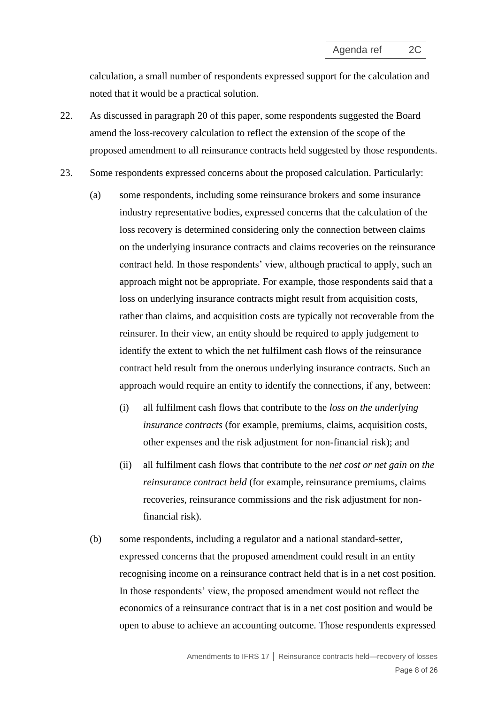<span id="page-7-0"></span>calculation, a small number of respondents expressed support for the calculation and noted that it would be a practical solution.

- 22. As discussed in paragraph [20](#page-6-0) of this paper, some respondents suggested the Board amend the loss-recovery calculation to reflect the extension of the scope of the proposed amendment to all reinsurance contracts held suggested by those respondents.
- <span id="page-7-1"></span>23. Some respondents expressed concerns about the proposed calculation. Particularly:
	- (a) some respondents, including some reinsurance brokers and some insurance industry representative bodies, expressed concerns that the calculation of the loss recovery is determined considering only the connection between claims on the underlying insurance contracts and claims recoveries on the reinsurance contract held. In those respondents' view, although practical to apply, such an approach might not be appropriate. For example, those respondents said that a loss on underlying insurance contracts might result from acquisition costs, rather than claims, and acquisition costs are typically not recoverable from the reinsurer. In their view, an entity should be required to apply judgement to identify the extent to which the net fulfilment cash flows of the reinsurance contract held result from the onerous underlying insurance contracts. Such an approach would require an entity to identify the connections, if any, between:
		- (i) all fulfilment cash flows that contribute to the *loss on the underlying insurance contracts* (for example, premiums, claims, acquisition costs, other expenses and the risk adjustment for non-financial risk); and
		- (ii) all fulfilment cash flows that contribute to the *net cost or net gain on the reinsurance contract held* (for example, reinsurance premiums, claims recoveries, reinsurance commissions and the risk adjustment for nonfinancial risk).
	- (b) some respondents, including a regulator and a national standard-setter, expressed concerns that the proposed amendment could result in an entity recognising income on a reinsurance contract held that is in a net cost position. In those respondents' view, the proposed amendment would not reflect the economics of a reinsurance contract that is in a net cost position and would be open to abuse to achieve an accounting outcome. Those respondents expressed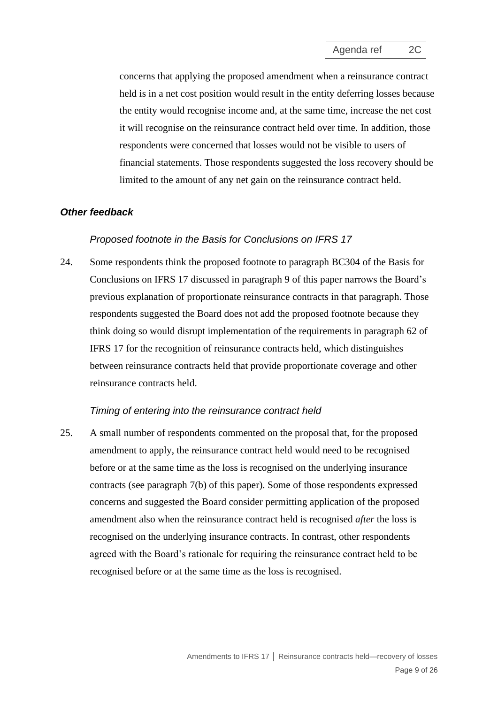concerns that applying the proposed amendment when a reinsurance contract held is in a net cost position would result in the entity deferring losses because the entity would recognise income and, at the same time, increase the net cost it will recognise on the reinsurance contract held over time. In addition, those respondents were concerned that losses would not be visible to users of financial statements. Those respondents suggested the loss recovery should be limited to the amount of any net gain on the reinsurance contract held.

#### *Other feedback*

#### *Proposed footnote in the Basis for Conclusions on IFRS 17*

<span id="page-8-0"></span>24. Some respondents think the proposed footnote to paragraph BC304 of the Basis for Conclusions on IFRS 17 discussed in paragraph [9](#page-3-1) of this paper narrows the Board's previous explanation of proportionate reinsurance contracts in that paragraph. Those respondents suggested the Board does not add the proposed footnote because they think doing so would disrupt implementation of the requirements in paragraph 62 of IFRS 17 for the recognition of reinsurance contracts held, which distinguishes between reinsurance contracts held that provide proportionate coverage and other reinsurance contracts held.

#### *Timing of entering into the reinsurance contract held*

<span id="page-8-1"></span>25. A small number of respondents commented on the proposal that, for the proposed amendment to apply, the reinsurance contract held would need to be recognised before or at the same time as the loss is recognised on the underlying insurance contracts (see paragraph [7\(b\)](#page-2-1) of this paper). Some of those respondents expressed concerns and suggested the Board consider permitting application of the proposed amendment also when the reinsurance contract held is recognised *after* the loss is recognised on the underlying insurance contracts. In contrast, other respondents agreed with the Board's rationale for requiring the reinsurance contract held to be recognised before or at the same time as the loss is recognised.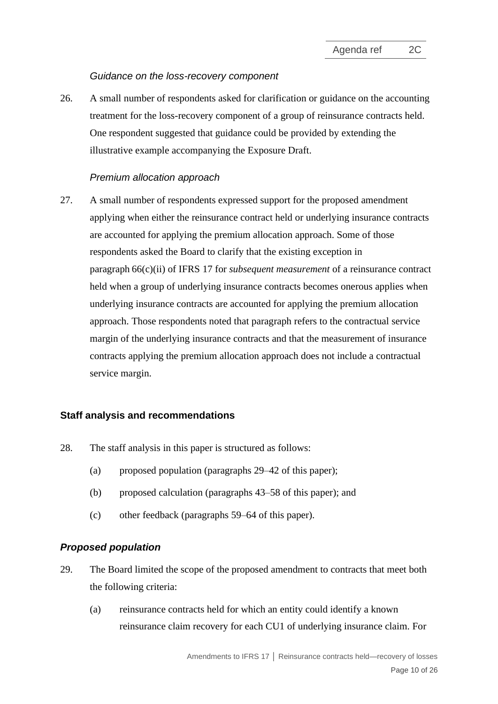## *Guidance on the loss-recovery component*

<span id="page-9-2"></span>26. A small number of respondents asked for clarification or guidance on the accounting treatment for the loss-recovery component of a group of reinsurance contracts held. One respondent suggested that guidance could be provided by extending the illustrative example accompanying the Exposure Draft.

## *Premium allocation approach*

<span id="page-9-0"></span>27. A small number of respondents expressed support for the proposed amendment applying when either the reinsurance contract held or underlying insurance contracts are accounted for applying the premium allocation approach. Some of those respondents asked the Board to clarify that the existing exception in paragraph 66(c)(ii) of IFRS 17 for *subsequent measurement* of a reinsurance contract held when a group of underlying insurance contracts becomes onerous applies when underlying insurance contracts are accounted for applying the premium allocation approach. Those respondents noted that paragraph refers to the contractual service margin of the underlying insurance contracts and that the measurement of insurance contracts applying the premium allocation approach does not include a contractual service margin.

### **Staff analysis and recommendations**

- 28. The staff analysis in this paper is structured as follows:
	- (a) proposed population (paragraphs  $29-42$  $29-42$  of this paper);
	- (b) proposed calculation (paragraphs [43](#page-14-0)–58 of this paper); and
	- (c) other feedback (paragraphs [59](#page-19-0)[‒64](#page-21-0) of this paper).

## *Proposed population*

- <span id="page-9-1"></span>29. The Board limited the scope of the proposed amendment to contracts that meet both the following criteria:
	- (a) reinsurance contracts held for which an entity could identify a known reinsurance claim recovery for each CU1 of underlying insurance claim. For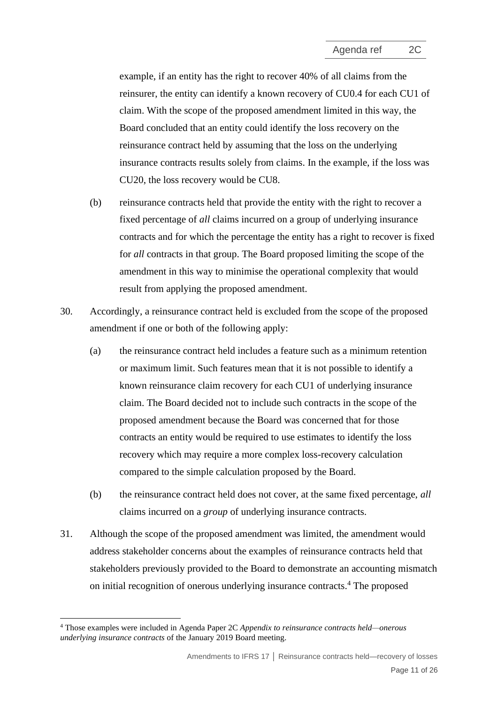example, if an entity has the right to recover 40% of all claims from the reinsurer, the entity can identify a known recovery of CU0.4 for each CU1 of claim. With the scope of the proposed amendment limited in this way, the Board concluded that an entity could identify the loss recovery on the reinsurance contract held by assuming that the loss on the underlying insurance contracts results solely from claims. In the example, if the loss was CU20, the loss recovery would be CU8.

- (b) reinsurance contracts held that provide the entity with the right to recover a fixed percentage of *all* claims incurred on a group of underlying insurance contracts and for which the percentage the entity has a right to recover is fixed for *all* contracts in that group. The Board proposed limiting the scope of the amendment in this way to minimise the operational complexity that would result from applying the proposed amendment.
- <span id="page-10-0"></span>30. Accordingly, a reinsurance contract held is excluded from the scope of the proposed amendment if one or both of the following apply:
	- (a) the reinsurance contract held includes a feature such as a minimum retention or maximum limit. Such features mean that it is not possible to identify a known reinsurance claim recovery for each CU1 of underlying insurance claim. The Board decided not to include such contracts in the scope of the proposed amendment because the Board was concerned that for those contracts an entity would be required to use estimates to identify the loss recovery which may require a more complex loss-recovery calculation compared to the simple calculation proposed by the Board.
	- (b) the reinsurance contract held does not cover, at the same fixed percentage, *all* claims incurred on a *group* of underlying insurance contracts.
- <span id="page-10-1"></span>31. Although the scope of the proposed amendment was limited, the amendment would address stakeholder concerns about the examples of reinsurance contracts held that stakeholders previously provided to the Board to demonstrate an accounting mismatch on initial recognition of onerous underlying insurance contracts. <sup>4</sup> The proposed

<sup>4</sup> Those examples were included in Agenda Paper 2C *Appendix to reinsurance contracts held—onerous underlying insurance contracts* of the January 2019 Board meeting.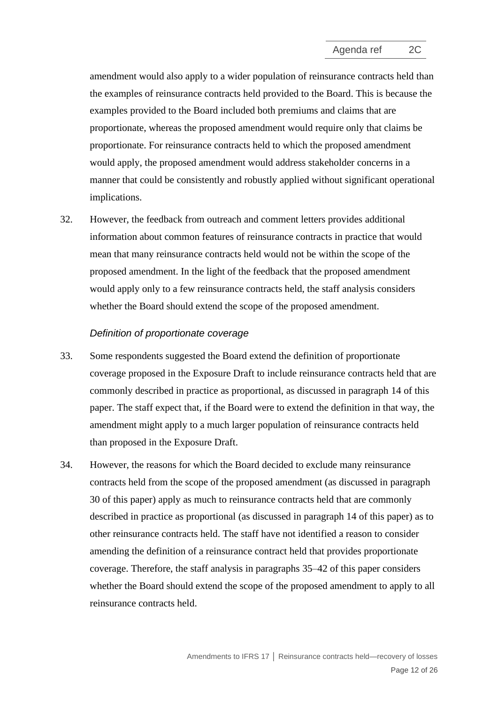amendment would also apply to a wider population of reinsurance contracts held than the examples of reinsurance contracts held provided to the Board. This is because the examples provided to the Board included both premiums and claims that are proportionate, whereas the proposed amendment would require only that claims be proportionate. For reinsurance contracts held to which the proposed amendment would apply, the proposed amendment would address stakeholder concerns in a manner that could be consistently and robustly applied without significant operational implications.

32. However, the feedback from outreach and comment letters provides additional information about common features of reinsurance contracts in practice that would mean that many reinsurance contracts held would not be within the scope of the proposed amendment. In the light of the feedback that the proposed amendment would apply only to a few reinsurance contracts held, the staff analysis considers whether the Board should extend the scope of the proposed amendment.

### *Definition of proportionate coverage*

- 33. Some respondents suggested the Board extend the definition of proportionate coverage proposed in the Exposure Draft to include reinsurance contracts held that are commonly described in practice as proportional, as discussed in paragraph [14](#page-4-0) of this paper. The staff expect that, if the Board were to extend the definition in that way, the amendment might apply to a much larger population of reinsurance contracts held than proposed in the Exposure Draft.
- 34. However, the reasons for which the Board decided to exclude many reinsurance contracts held from the scope of the proposed amendment (as discussed in paragraph [30](#page-10-0) of this paper) apply as much to reinsurance contracts held that are commonly described in practice as proportional (as discussed in paragraph [14](#page-4-0) of this paper) as to other reinsurance contracts held. The staff have not identified a reason to consider amending the definition of a reinsurance contract held that provides proportionate coverage. Therefore, the staff analysis in paragraphs [35](#page-12-0)[–42](#page-13-0) of this paper considers whether the Board should extend the scope of the proposed amendment to apply to all reinsurance contracts held.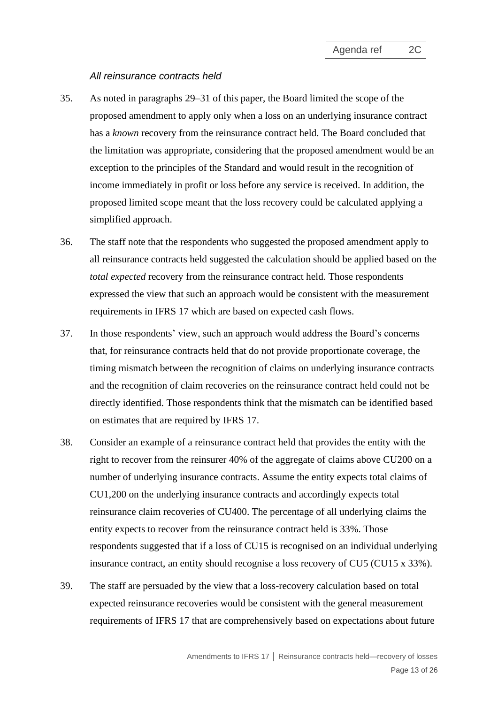#### *All reinsurance contracts held*

- <span id="page-12-0"></span>35. As noted in paragraphs [29–](#page-9-1)[31](#page-10-1) of this paper, the Board limited the scope of the proposed amendment to apply only when a loss on an underlying insurance contract has a *known* recovery from the reinsurance contract held. The Board concluded that the limitation was appropriate, considering that the proposed amendment would be an exception to the principles of the Standard and would result in the recognition of income immediately in profit or loss before any service is received. In addition, the proposed limited scope meant that the loss recovery could be calculated applying a simplified approach.
- <span id="page-12-1"></span>36. The staff note that the respondents who suggested the proposed amendment apply to all reinsurance contracts held suggested the calculation should be applied based on the *total expected* recovery from the reinsurance contract held. Those respondents expressed the view that such an approach would be consistent with the measurement requirements in IFRS 17 which are based on expected cash flows.
- 37. In those respondents' view, such an approach would address the Board's concerns that, for reinsurance contracts held that do not provide proportionate coverage, the timing mismatch between the recognition of claims on underlying insurance contracts and the recognition of claim recoveries on the reinsurance contract held could not be directly identified. Those respondents think that the mismatch can be identified based on estimates that are required by IFRS 17.
- 38. Consider an example of a reinsurance contract held that provides the entity with the right to recover from the reinsurer 40% of the aggregate of claims above CU200 on a number of underlying insurance contracts. Assume the entity expects total claims of CU1,200 on the underlying insurance contracts and accordingly expects total reinsurance claim recoveries of CU400. The percentage of all underlying claims the entity expects to recover from the reinsurance contract held is 33%. Those respondents suggested that if a loss of CU15 is recognised on an individual underlying insurance contract, an entity should recognise a loss recovery of CU5 (CU15 x 33%).
- 39. The staff are persuaded by the view that a loss-recovery calculation based on total expected reinsurance recoveries would be consistent with the general measurement requirements of IFRS 17 that are comprehensively based on expectations about future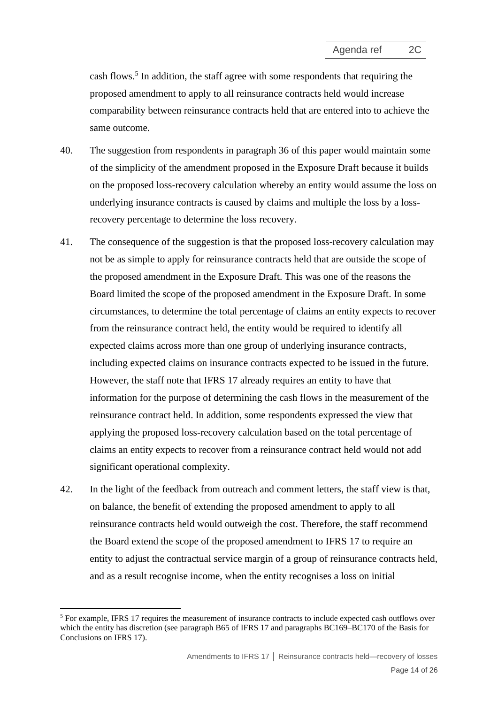cash flows.<sup>5</sup> In addition, the staff agree with some respondents that requiring the proposed amendment to apply to all reinsurance contracts held would increase comparability between reinsurance contracts held that are entered into to achieve the same outcome.

- 40. The suggestion from respondents in paragraph [36](#page-12-1) of this paper would maintain some of the simplicity of the amendment proposed in the Exposure Draft because it builds on the proposed loss-recovery calculation whereby an entity would assume the loss on underlying insurance contracts is caused by claims and multiple the loss by a lossrecovery percentage to determine the loss recovery.
- 41. The consequence of the suggestion is that the proposed loss-recovery calculation may not be as simple to apply for reinsurance contracts held that are outside the scope of the proposed amendment in the Exposure Draft. This was one of the reasons the Board limited the scope of the proposed amendment in the Exposure Draft. In some circumstances, to determine the total percentage of claims an entity expects to recover from the reinsurance contract held, the entity would be required to identify all expected claims across more than one group of underlying insurance contracts, including expected claims on insurance contracts expected to be issued in the future. However, the staff note that IFRS 17 already requires an entity to have that information for the purpose of determining the cash flows in the measurement of the reinsurance contract held. In addition, some respondents expressed the view that applying the proposed loss-recovery calculation based on the total percentage of claims an entity expects to recover from a reinsurance contract held would not add significant operational complexity.
- <span id="page-13-0"></span>42. In the light of the feedback from outreach and comment letters, the staff view is that, on balance, the benefit of extending the proposed amendment to apply to all reinsurance contracts held would outweigh the cost. Therefore, the staff recommend the Board extend the scope of the proposed amendment to IFRS 17 to require an entity to adjust the contractual service margin of a group of reinsurance contracts held, and as a result recognise income, when the entity recognises a loss on initial

<sup>5</sup> For example, IFRS 17 requires the measurement of insurance contracts to include expected cash outflows over which the entity has discretion (see paragraph B65 of IFRS 17 and paragraphs BC169–BC170 of the Basis for Conclusions on IFRS 17).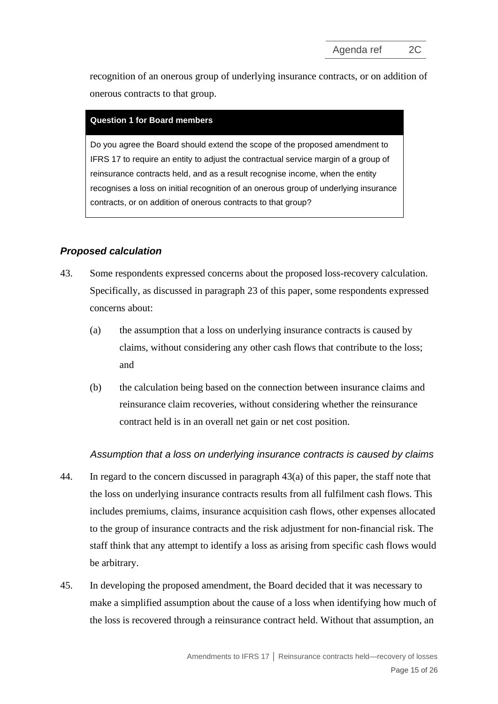recognition of an onerous group of underlying insurance contracts, or on addition of onerous contracts to that group.

#### **Question 1 for Board members**

Do you agree the Board should extend the scope of the proposed amendment to IFRS 17 to require an entity to adjust the contractual service margin of a group of reinsurance contracts held, and as a result recognise income, when the entity recognises a loss on initial recognition of an onerous group of underlying insurance contracts, or on addition of onerous contracts to that group?

## *Proposed calculation*

- <span id="page-14-1"></span><span id="page-14-0"></span>43. Some respondents expressed concerns about the proposed loss-recovery calculation. Specifically, as discussed in paragraph [23](#page-7-1) of this paper, some respondents expressed concerns about:
	- (a) the assumption that a loss on underlying insurance contracts is caused by claims, without considering any other cash flows that contribute to the loss; and
	- (b) the calculation being based on the connection between insurance claims and reinsurance claim recoveries, without considering whether the reinsurance contract held is in an overall net gain or net cost position.

## <span id="page-14-2"></span>*Assumption that a loss on underlying insurance contracts is caused by claims*

- 44. In regard to the concern discussed in paragraph [43\(a\)](#page-14-1) of this paper, the staff note that the loss on underlying insurance contracts results from all fulfilment cash flows. This includes premiums, claims, insurance acquisition cash flows, other expenses allocated to the group of insurance contracts and the risk adjustment for non-financial risk. The staff think that any attempt to identify a loss as arising from specific cash flows would be arbitrary.
- <span id="page-14-3"></span>45. In developing the proposed amendment, the Board decided that it was necessary to make a simplified assumption about the cause of a loss when identifying how much of the loss is recovered through a reinsurance contract held. Without that assumption, an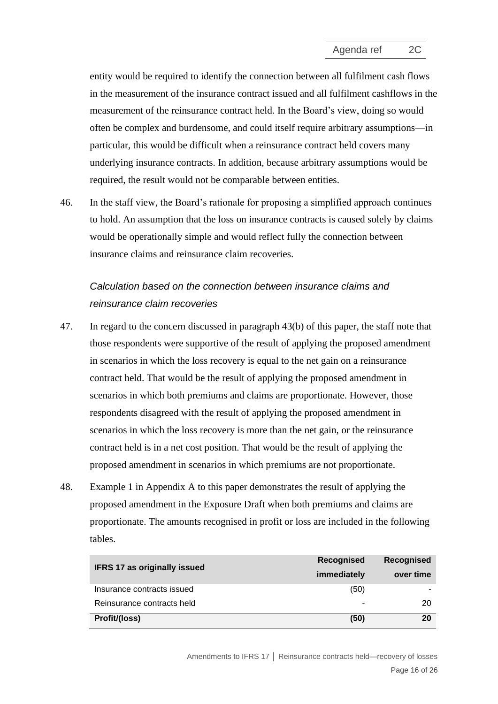entity would be required to identify the connection between all fulfilment cash flows in the measurement of the insurance contract issued and all fulfilment cashflows in the measurement of the reinsurance contract held. In the Board's view, doing so would often be complex and burdensome, and could itself require arbitrary assumptions—in particular, this would be difficult when a reinsurance contract held covers many underlying insurance contracts. In addition, because arbitrary assumptions would be required, the result would not be comparable between entities.

46. In the staff view, the Board's rationale for proposing a simplified approach continues to hold. An assumption that the loss on insurance contracts is caused solely by claims would be operationally simple and would reflect fully the connection between insurance claims and reinsurance claim recoveries.

# *Calculation based on the connection between insurance claims and reinsurance claim recoveries*

- 47. In regard to the concern discussed in paragraph [43\(b\)](#page-14-2) of this paper, the staff note that those respondents were supportive of the result of applying the proposed amendment in scenarios in which the loss recovery is equal to the net gain on a reinsurance contract held. That would be the result of applying the proposed amendment in scenarios in which both premiums and claims are proportionate. However, those respondents disagreed with the result of applying the proposed amendment in scenarios in which the loss recovery is more than the net gain, or the reinsurance contract held is in a net cost position. That would be the result of applying the proposed amendment in scenarios in which premiums are not proportionate.
- 48. Example 1 in Appendix A to this paper demonstrates the result of applying the proposed amendment in the Exposure Draft when both premiums and claims are proportionate. The amounts recognised in profit or loss are included in the following tables.

| <b>IFRS 17 as originally issued</b> | <b>Recognised</b> | <b>Recognised</b> |
|-------------------------------------|-------------------|-------------------|
|                                     | immediately       | over time         |
| Insurance contracts issued          | (50)              |                   |
| Reinsurance contracts held          |                   | 20                |
| Profit/(loss)                       | (50)              | 20                |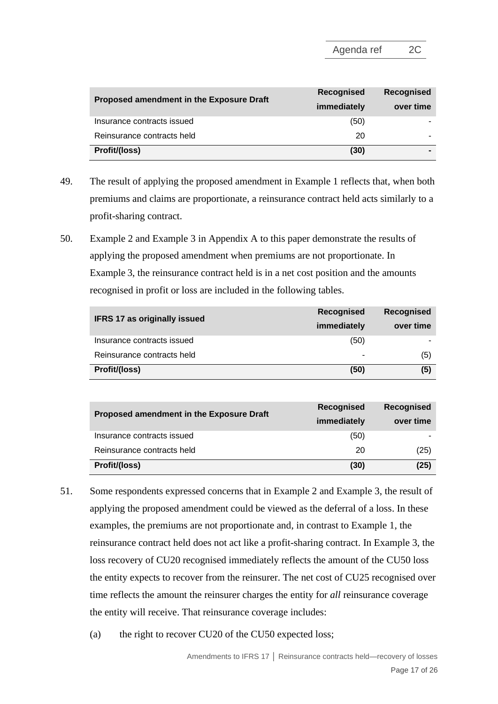|                                          | <b>Recognised</b> | Recognised |  |
|------------------------------------------|-------------------|------------|--|
| Proposed amendment in the Exposure Draft | immediately       | over time  |  |
| Insurance contracts issued               | (50)              |            |  |
| Reinsurance contracts held               | 20                |            |  |
| Profit/(loss)                            | (30)              |            |  |

- 49. The result of applying the proposed amendment in Example 1 reflects that, when both premiums and claims are proportionate, a reinsurance contract held acts similarly to a profit-sharing contract.
- 50. Example 2 and Example 3 in Appendix A to this paper demonstrate the results of applying the proposed amendment when premiums are not proportionate. In Example 3, the reinsurance contract held is in a net cost position and the amounts recognised in profit or loss are included in the following tables.

| <b>IFRS 17 as originally issued</b> | <b>Recognised</b> | <b>Recognised</b> |
|-------------------------------------|-------------------|-------------------|
|                                     | immediately       | over time         |
| Insurance contracts issued          | (50)              |                   |
| Reinsurance contracts held          |                   | (5)               |
| Profit/(loss)                       | (50)              | (5)               |

| Proposed amendment in the Exposure Draft | <b>Recognised</b> | <b>Recognised</b> |  |
|------------------------------------------|-------------------|-------------------|--|
|                                          | immediately       |                   |  |
| Insurance contracts issued               | (50)              |                   |  |
| Reinsurance contracts held               | 20                | (25)              |  |
| Profit/(loss)                            | (30)              | (25)              |  |

- 51. Some respondents expressed concerns that in Example 2 and Example 3, the result of applying the proposed amendment could be viewed as the deferral of a loss. In these examples, the premiums are not proportionate and, in contrast to Example 1, the reinsurance contract held does not act like a profit-sharing contract. In Example 3, the loss recovery of CU20 recognised immediately reflects the amount of the CU50 loss the entity expects to recover from the reinsurer. The net cost of CU25 recognised over time reflects the amount the reinsurer charges the entity for *all* reinsurance coverage the entity will receive. That reinsurance coverage includes:
	- (a) the right to recover CU20 of the CU50 expected loss;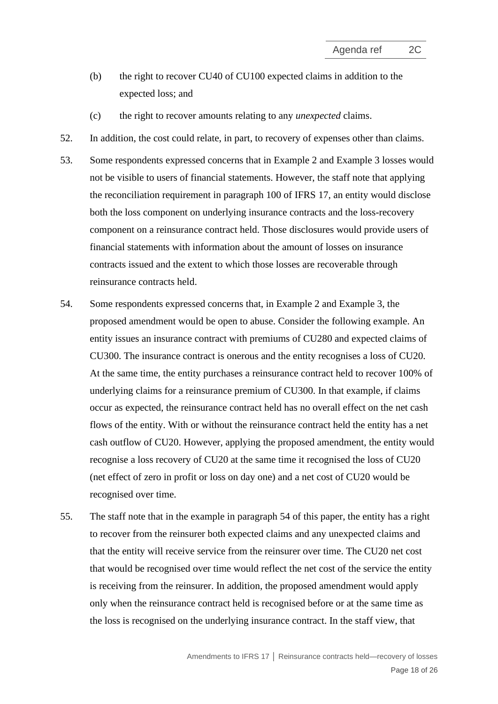- (b) the right to recover CU40 of CU100 expected claims in addition to the expected loss; and
- (c) the right to recover amounts relating to any *unexpected* claims.
- 52. In addition, the cost could relate, in part, to recovery of expenses other than claims.
- 53. Some respondents expressed concerns that in Example 2 and Example 3 losses would not be visible to users of financial statements. However, the staff note that applying the reconciliation requirement in paragraph 100 of IFRS 17, an entity would disclose both the loss component on underlying insurance contracts and the loss-recovery component on a reinsurance contract held. Those disclosures would provide users of financial statements with information about the amount of losses on insurance contracts issued and the extent to which those losses are recoverable through reinsurance contracts held.
- <span id="page-17-0"></span>54. Some respondents expressed concerns that, in Example 2 and Example 3, the proposed amendment would be open to abuse. Consider the following example. An entity issues an insurance contract with premiums of CU280 and expected claims of CU300. The insurance contract is onerous and the entity recognises a loss of CU20. At the same time, the entity purchases a reinsurance contract held to recover 100% of underlying claims for a reinsurance premium of CU300. In that example, if claims occur as expected, the reinsurance contract held has no overall effect on the net cash flows of the entity. With or without the reinsurance contract held the entity has a net cash outflow of CU20. However, applying the proposed amendment, the entity would recognise a loss recovery of CU20 at the same time it recognised the loss of CU20 (net effect of zero in profit or loss on day one) and a net cost of CU20 would be recognised over time.
- 55. The staff note that in the example in paragraph [54](#page-17-0) of this paper, the entity has a right to recover from the reinsurer both expected claims and any unexpected claims and that the entity will receive service from the reinsurer over time. The CU20 net cost that would be recognised over time would reflect the net cost of the service the entity is receiving from the reinsurer. In addition, the proposed amendment would apply only when the reinsurance contract held is recognised before or at the same time as the loss is recognised on the underlying insurance contract. In the staff view, that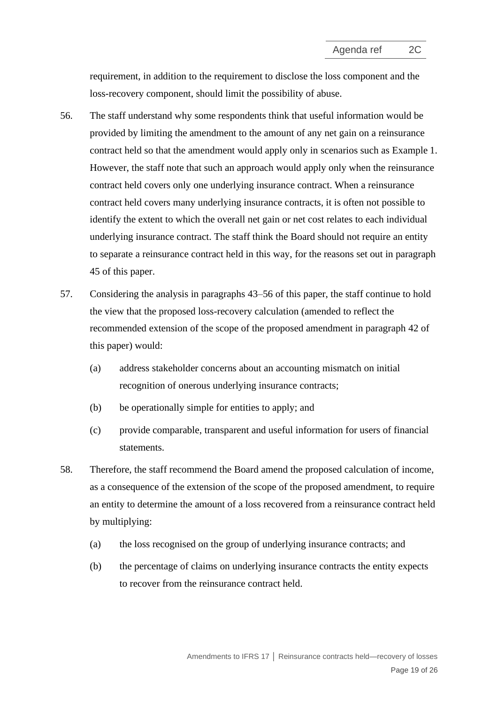requirement, in addition to the requirement to disclose the loss component and the loss-recovery component, should limit the possibility of abuse.

- <span id="page-18-1"></span>56. The staff understand why some respondents think that useful information would be provided by limiting the amendment to the amount of any net gain on a reinsurance contract held so that the amendment would apply only in scenarios such as Example 1. However, the staff note that such an approach would apply only when the reinsurance contract held covers only one underlying insurance contract. When a reinsurance contract held covers many underlying insurance contracts, it is often not possible to identify the extent to which the overall net gain or net cost relates to each individual underlying insurance contract. The staff think the Board should not require an entity to separate a reinsurance contract held in this way, for the reasons set out in paragraph [45](#page-14-3) of this paper.
- 57. Considering the analysis in paragraphs 43–[56](#page-18-1) of this paper, the staff continue to hold the view that the proposed loss-recovery calculation (amended to reflect the recommended extension of the scope of the proposed amendment in paragraph [42](#page-13-0) of this paper) would:
	- (a) address stakeholder concerns about an accounting mismatch on initial recognition of onerous underlying insurance contracts;
	- (b) be operationally simple for entities to apply; and
	- (c) provide comparable, transparent and useful information for users of financial statements.
- <span id="page-18-0"></span>58. Therefore, the staff recommend the Board amend the proposed calculation of income, as a consequence of the extension of the scope of the proposed amendment, to require an entity to determine the amount of a loss recovered from a reinsurance contract held by multiplying:
	- (a) the loss recognised on the group of underlying insurance contracts; and
	- (b) the percentage of claims on underlying insurance contracts the entity expects to recover from the reinsurance contract held.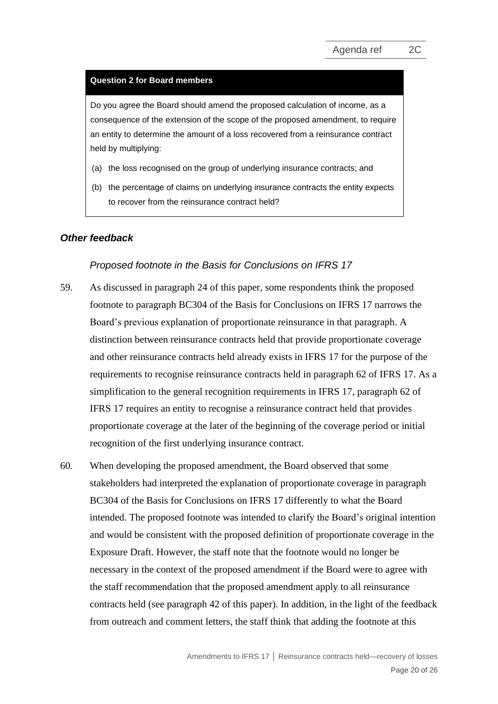#### **Question 2 for Board members**

Do you agree the Board should amend the proposed calculation of income, as a consequence of the extension of the scope of the proposed amendment, to require an entity to determine the amount of a loss recovered from a reinsurance contract held by multiplying:

- (a) the loss recognised on the group of underlying insurance contracts; and
- (b) the percentage of claims on underlying insurance contracts the entity expects to recover from the reinsurance contract held?

#### *Other feedback*

#### *Proposed footnote in the Basis for Conclusions on IFRS 17*

- <span id="page-19-0"></span>59. As discussed in paragraph [24](#page-8-0) of this paper, some respondents think the proposed footnote to paragraph BC304 of the Basis for Conclusions on IFRS 17 narrows the Board's previous explanation of proportionate reinsurance in that paragraph. A distinction between reinsurance contracts held that provide proportionate coverage and other reinsurance contracts held already exists in IFRS 17 for the purpose of the requirements to recognise reinsurance contracts held in paragraph 62 of IFRS 17. As a simplification to the general recognition requirements in IFRS 17, paragraph 62 of IFRS 17 requires an entity to recognise a reinsurance contract held that provides proportionate coverage at the later of the beginning of the coverage period or initial recognition of the first underlying insurance contract.
- 60. When developing the proposed amendment, the Board observed that some stakeholders had interpreted the explanation of proportionate coverage in paragraph BC304 of the Basis for Conclusions on IFRS 17 differently to what the Board intended. The proposed footnote was intended to clarify the Board's original intention and would be consistent with the proposed definition of proportionate coverage in the Exposure Draft. However, the staff note that the footnote would no longer be necessary in the context of the proposed amendment if the Board were to agree with the staff recommendation that the proposed amendment apply to all reinsurance contracts held (see paragraph [42](#page-13-0) of this paper). In addition, in the light of the feedback from outreach and comment letters, the staff think that adding the footnote at this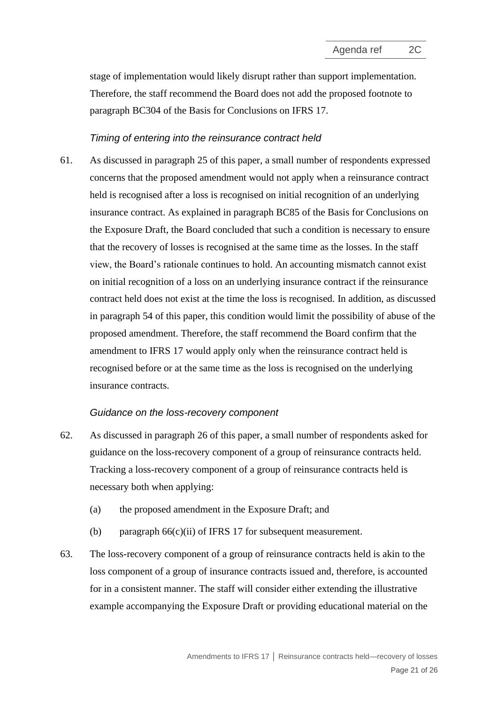stage of implementation would likely disrupt rather than support implementation. Therefore, the staff recommend the Board does not add the proposed footnote to paragraph BC304 of the Basis for Conclusions on IFRS 17.

#### *Timing of entering into the reinsurance contract held*

61. As discussed in paragraph [25](#page-8-1) of this paper, a small number of respondents expressed concerns that the proposed amendment would not apply when a reinsurance contract held is recognised after a loss is recognised on initial recognition of an underlying insurance contract. As explained in paragraph BC85 of the Basis for Conclusions on the Exposure Draft, the Board concluded that such a condition is necessary to ensure that the recovery of losses is recognised at the same time as the losses. In the staff view, the Board's rationale continues to hold. An accounting mismatch cannot exist on initial recognition of a loss on an underlying insurance contract if the reinsurance contract held does not exist at the time the loss is recognised. In addition, as discussed in paragraph [54](#page-17-0) of this paper, this condition would limit the possibility of abuse of the proposed amendment. Therefore, the staff recommend the Board confirm that the amendment to IFRS 17 would apply only when the reinsurance contract held is recognised before or at the same time as the loss is recognised on the underlying insurance contracts.

#### *Guidance on the loss-recovery component*

- 62. As discussed in paragraph [26](#page-9-2) of this paper, a small number of respondents asked for guidance on the loss-recovery component of a group of reinsurance contracts held. Tracking a loss-recovery component of a group of reinsurance contracts held is necessary both when applying:
	- (a) the proposed amendment in the Exposure Draft; and
	- (b) paragraph  $66(c)(ii)$  of IFRS 17 for subsequent measurement.
- 63. The loss-recovery component of a group of reinsurance contracts held is akin to the loss component of a group of insurance contracts issued and, therefore, is accounted for in a consistent manner. The staff will consider either extending the illustrative example accompanying the Exposure Draft or providing educational material on the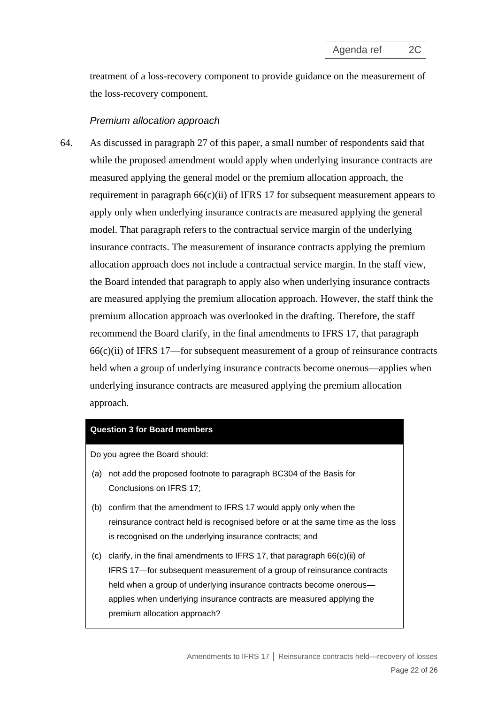treatment of a loss-recovery component to provide guidance on the measurement of the loss-recovery component.

### *Premium allocation approach*

<span id="page-21-0"></span>64. As discussed in paragraph [27](#page-9-0) of this paper, a small number of respondents said that while the proposed amendment would apply when underlying insurance contracts are measured applying the general model or the premium allocation approach, the requirement in paragraph 66(c)(ii) of IFRS 17 for subsequent measurement appears to apply only when underlying insurance contracts are measured applying the general model. That paragraph refers to the contractual service margin of the underlying insurance contracts. The measurement of insurance contracts applying the premium allocation approach does not include a contractual service margin. In the staff view, the Board intended that paragraph to apply also when underlying insurance contracts are measured applying the premium allocation approach. However, the staff think the premium allocation approach was overlooked in the drafting. Therefore, the staff recommend the Board clarify, in the final amendments to IFRS 17, that paragraph 66(c)(ii) of IFRS 17—for subsequent measurement of a group of reinsurance contracts held when a group of underlying insurance contracts become onerous—applies when underlying insurance contracts are measured applying the premium allocation approach.

#### **Question 3 for Board members**

Do you agree the Board should:

- (a) not add the proposed footnote to paragraph BC304 of the Basis for Conclusions on IFRS 17;
- (b) confirm that the amendment to IFRS 17 would apply only when the reinsurance contract held is recognised before or at the same time as the loss is recognised on the underlying insurance contracts; and
- (c) clarify, in the final amendments to IFRS 17, that paragraph 66(c)(ii) of IFRS 17—for subsequent measurement of a group of reinsurance contracts held when a group of underlying insurance contracts become onerous applies when underlying insurance contracts are measured applying the premium allocation approach?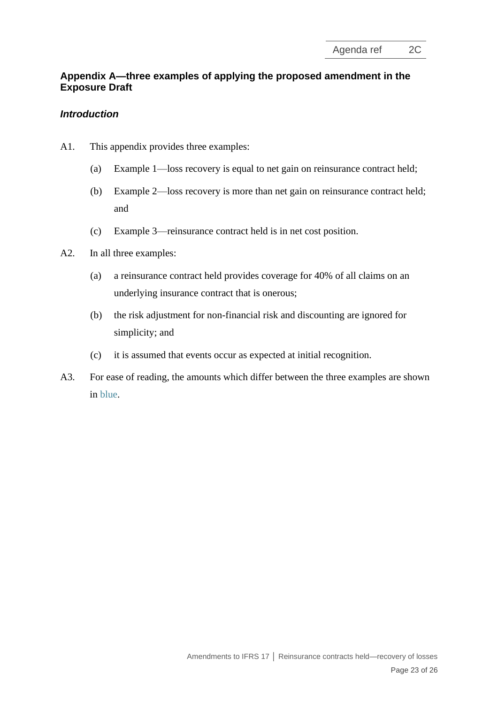## **Appendix A—three examples of applying the proposed amendment in the Exposure Draft**

## *Introduction*

- A1. This appendix provides three examples:
	- (a) Example 1—loss recovery is equal to net gain on reinsurance contract held;
	- (b) Example 2—loss recovery is more than net gain on reinsurance contract held; and
	- (c) Example 3—reinsurance contract held is in net cost position.
- A2. In all three examples:
	- (a) a reinsurance contract held provides coverage for 40% of all claims on an underlying insurance contract that is onerous;
	- (b) the risk adjustment for non-financial risk and discounting are ignored for simplicity; and
	- (c) it is assumed that events occur as expected at initial recognition.
- A3. For ease of reading, the amounts which differ between the three examples are shown in blue.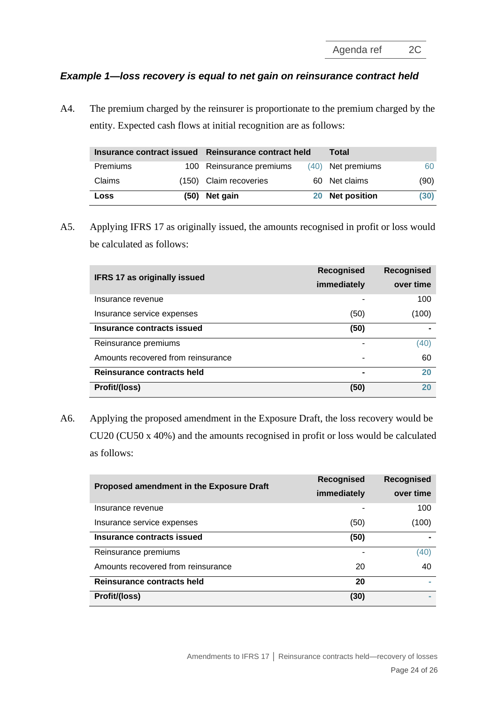## *Example 1—loss recovery is equal to net gain on reinsurance contract held*

A4. The premium charged by the reinsurer is proportionate to the premium charged by the entity. Expected cash flows at initial recognition are as follows:

|          |      | Insurance contract issued Reinsurance contract held |  | Total             |      |
|----------|------|-----------------------------------------------------|--|-------------------|------|
| Premiums |      | 100 Reinsurance premiums                            |  | (40) Net premiums | 60   |
| Claims   |      | (150) Claim recoveries                              |  | 60 Net claims     | (90) |
| Loss     | (50) | Net gain                                            |  | 20 Net position   | (30) |

A5. Applying IFRS 17 as originally issued, the amounts recognised in profit or loss would be calculated as follows:

| <b>IFRS 17 as originally issued</b> | <b>Recognised</b> | Recognised |
|-------------------------------------|-------------------|------------|
|                                     | immediately       | over time  |
| Insurance revenue                   |                   | 100        |
| Insurance service expenses          | (50)              | (100)      |
| Insurance contracts issued          | (50)              |            |
| Reinsurance premiums                |                   | (40)       |
| Amounts recovered from reinsurance  |                   | 60         |
| <b>Reinsurance contracts held</b>   |                   | 20         |
| Profit/(loss)                       | (50)              | 20         |

A6. Applying the proposed amendment in the Exposure Draft, the loss recovery would be CU20 (CU50 x 40%) and the amounts recognised in profit or loss would be calculated as follows:

| Proposed amendment in the Exposure Draft | <b>Recognised</b> | Recognised |
|------------------------------------------|-------------------|------------|
|                                          | immediately       | over time  |
| Insurance revenue                        |                   | 100        |
| Insurance service expenses               | (50)              | (100)      |
| <b>Insurance contracts issued</b>        | (50)              |            |
| Reinsurance premiums                     |                   | (40)       |
| Amounts recovered from reinsurance       | 20                | 40         |
| Reinsurance contracts held               | 20                |            |
| Profit/(loss)                            | (30)              |            |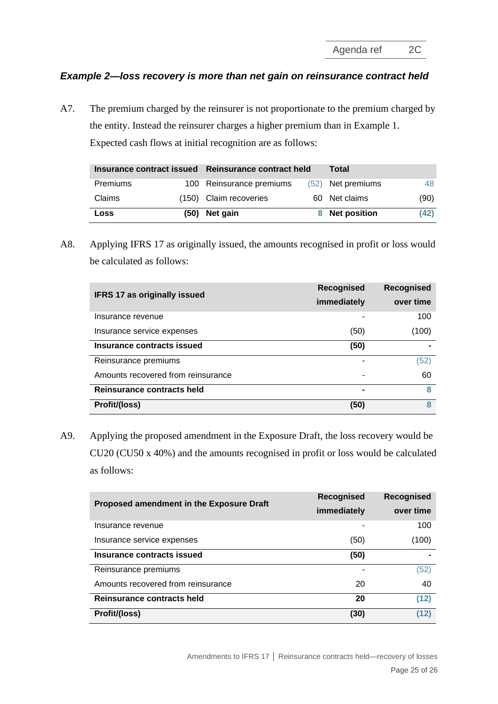Agenda ref 2C

## *Example 2—loss recovery is more than net gain on reinsurance contract held*

A7. The premium charged by the reinsurer is not proportionate to the premium charged by the entity. Instead the reinsurer charges a higher premium than in Example 1. Expected cash flows at initial recognition are as follows:

|          |  | Insurance contract issued Reinsurance contract held |  | Total             |      |
|----------|--|-----------------------------------------------------|--|-------------------|------|
| Premiums |  | 100 Reinsurance premiums                            |  | (52) Net premiums | 48   |
| Claims   |  | (150) Claim recoveries                              |  | 60 Net claims     | (90) |
| Loss     |  | (50) Net gain                                       |  | 8 Net position    | (42) |

A8. Applying IFRS 17 as originally issued, the amounts recognised in profit or loss would be calculated as follows:

| <b>IFRS 17 as originally issued</b> | <b>Recognised</b> | <b>Recognised</b> |
|-------------------------------------|-------------------|-------------------|
|                                     | immediately       | over time         |
| Insurance revenue                   |                   | 100               |
| Insurance service expenses          | (50)              | (100)             |
| Insurance contracts issued          | (50)              |                   |
| Reinsurance premiums                |                   | (52)              |
| Amounts recovered from reinsurance  |                   | 60                |
| Reinsurance contracts held          |                   | 8                 |
| Profit/(loss)                       | (50)              | 8                 |

A9. Applying the proposed amendment in the Exposure Draft, the loss recovery would be CU20 (CU50 x 40%) and the amounts recognised in profit or loss would be calculated as follows:

| Proposed amendment in the Exposure Draft | Recognised  | Recognised |  |
|------------------------------------------|-------------|------------|--|
|                                          | immediately | over time  |  |
| Insurance revenue                        |             | 100        |  |
| Insurance service expenses               | (50)        | (100)      |  |
| Insurance contracts issued               | (50)        |            |  |
| Reinsurance premiums                     |             | (52)       |  |
| Amounts recovered from reinsurance       | 20          | 40         |  |
| Reinsurance contracts held               | 20          | (12)       |  |
| Profit/(loss)                            | (30)        | (12)       |  |